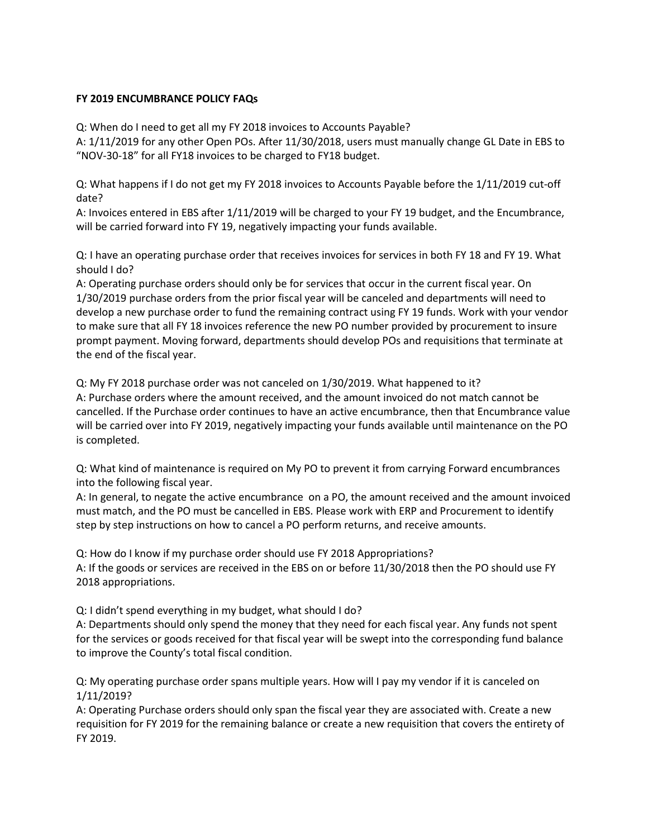## **FY 2019 ENCUMBRANCE POLICY FAQs**

Q: When do I need to get all my FY 2018 invoices to Accounts Payable?

A: 1/11/2019 for any other Open POs. After 11/30/2018, users must manually change GL Date in EBS to "NOV-30-18" for all FY18 invoices to be charged to FY18 budget.

Q: What happens if I do not get my FY 2018 invoices to Accounts Payable before the 1/11/2019 cut-off date?

A: Invoices entered in EBS after 1/11/2019 will be charged to your FY 19 budget, and the Encumbrance, will be carried forward into FY 19, negatively impacting your funds available.

Q: I have an operating purchase order that receives invoices for services in both FY 18 and FY 19. What should I do?

A: Operating purchase orders should only be for services that occur in the current fiscal year. On 1/30/2019 purchase orders from the prior fiscal year will be canceled and departments will need to develop a new purchase order to fund the remaining contract using FY 19 funds. Work with your vendor to make sure that all FY 18 invoices reference the new PO number provided by procurement to insure prompt payment. Moving forward, departments should develop POs and requisitions that terminate at the end of the fiscal year.

Q: My FY 2018 purchase order was not canceled on 1/30/2019. What happened to it? A: Purchase orders where the amount received, and the amount invoiced do not match cannot be cancelled. If the Purchase order continues to have an active encumbrance, then that Encumbrance value will be carried over into FY 2019, negatively impacting your funds available until maintenance on the PO is completed.

Q: What kind of maintenance is required on My PO to prevent it from carrying Forward encumbrances into the following fiscal year.

A: In general, to negate the active encumbrance on a PO, the amount received and the amount invoiced must match, and the PO must be cancelled in EBS. Please work with ERP and Procurement to identify step by step instructions on how to cancel a PO perform returns, and receive amounts.

Q: How do I know if my purchase order should use FY 2018 Appropriations? A: If the goods or services are received in the EBS on or before 11/30/2018 then the PO should use FY 2018 appropriations.

Q: I didn't spend everything in my budget, what should I do?

A: Departments should only spend the money that they need for each fiscal year. Any funds not spent for the services or goods received for that fiscal year will be swept into the corresponding fund balance to improve the County's total fiscal condition.

Q: My operating purchase order spans multiple years. How will I pay my vendor if it is canceled on 1/11/2019?

A: Operating Purchase orders should only span the fiscal year they are associated with. Create a new requisition for FY 2019 for the remaining balance or create a new requisition that covers the entirety of FY 2019.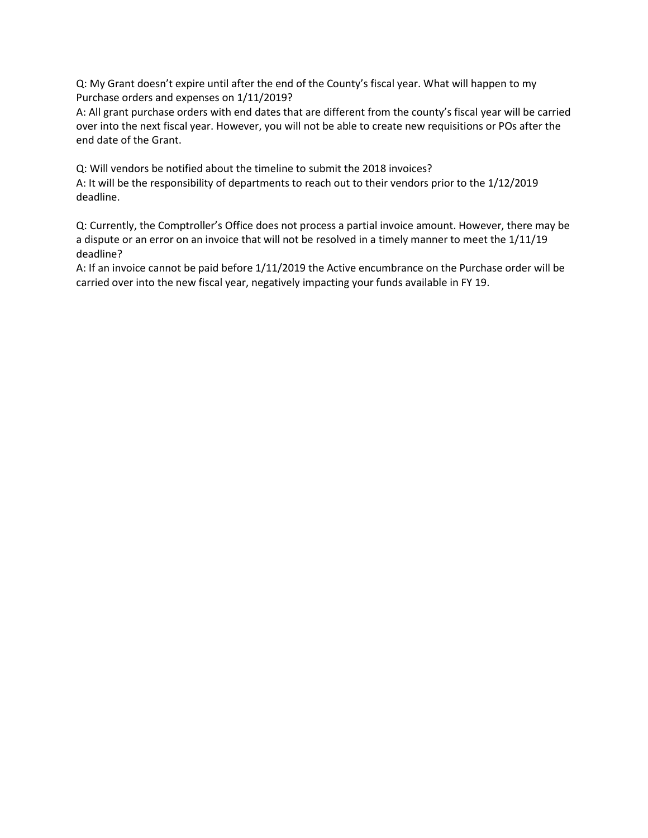Q: My Grant doesn't expire until after the end of the County's fiscal year. What will happen to my Purchase orders and expenses on 1/11/2019?

A: All grant purchase orders with end dates that are different from the county's fiscal year will be carried over into the next fiscal year. However, you will not be able to create new requisitions or POs after the end date of the Grant.

Q: Will vendors be notified about the timeline to submit the 2018 invoices?

A: It will be the responsibility of departments to reach out to their vendors prior to the 1/12/2019 deadline.

Q: Currently, the Comptroller's Office does not process a partial invoice amount. However, there may be a dispute or an error on an invoice that will not be resolved in a timely manner to meet the 1/11/19 deadline?

A: If an invoice cannot be paid before 1/11/2019 the Active encumbrance on the Purchase order will be carried over into the new fiscal year, negatively impacting your funds available in FY 19.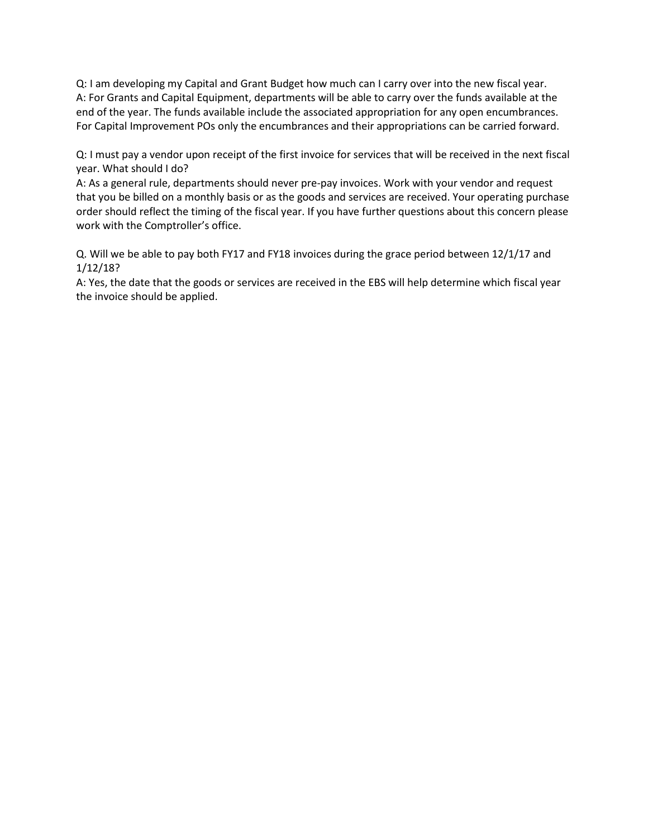Q: I am developing my Capital and Grant Budget how much can I carry over into the new fiscal year. A: For Grants and Capital Equipment, departments will be able to carry over the funds available at the end of the year. The funds available include the associated appropriation for any open encumbrances. For Capital Improvement POs only the encumbrances and their appropriations can be carried forward.

Q: I must pay a vendor upon receipt of the first invoice for services that will be received in the next fiscal year. What should I do?

A: As a general rule, departments should never pre-pay invoices. Work with your vendor and request that you be billed on a monthly basis or as the goods and services are received. Your operating purchase order should reflect the timing of the fiscal year. If you have further questions about this concern please work with the Comptroller's office.

Q. Will we be able to pay both FY17 and FY18 invoices during the grace period between 12/1/17 and 1/12/18?

A: Yes, the date that the goods or services are received in the EBS will help determine which fiscal year the invoice should be applied.